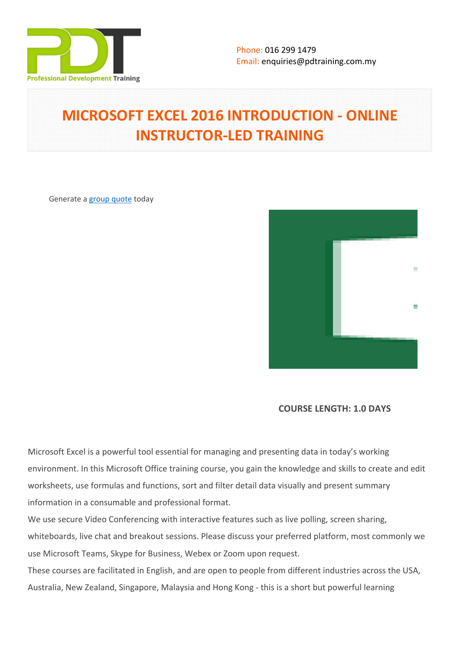

# **MICROSOFT EXCEL 2016 INTRODUCTION - ONLINE INSTRUCTOR-LED TRAINING**

Generate a [group quote](https://pdtraining.com.my/inhouse-training-quote?cse=PDTM1236_C) today



**COURSE LENGTH: 1.0 DAYS**

Microsoft Excel is a powerful tool essential for managing and presenting data in today's working environment. In this Microsoft Office training course, you gain the knowledge and skills to create and edit worksheets, use formulas and functions, sort and filter detail data visually and present summary information in a consumable and professional format.

We use secure Video Conferencing with interactive features such as live polling, screen sharing, whiteboards, live chat and breakout sessions. Please discuss your preferred platform, most commonly we use Microsoft Teams, Skype for Business, Webex or Zoom upon request.

These courses are facilitated in English, and are open to people from different industries across the USA, Australia, New Zealand, Singapore, Malaysia and Hong Kong - this is a short but powerful learning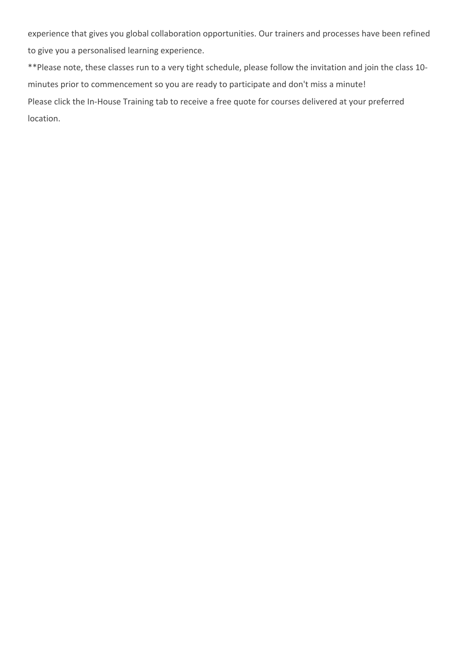experience that gives you global collaboration opportunities. Our trainers and processes have been refined to give you a personalised learning experience.

\*\*Please note, these classes run to a very tight schedule, please follow the invitation and join the class 10 minutes prior to commencement so you are ready to participate and don't miss a minute! Please click the In-House Training tab to receive a free quote for courses delivered at your preferred location.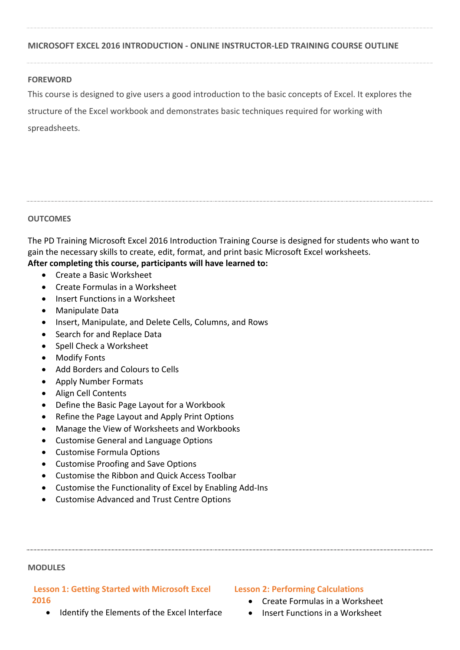## **MICROSOFT EXCEL 2016 INTRODUCTION - ONLINE INSTRUCTOR-LED TRAINING COURSE OUTLINE**

## **FOREWORD**

This course is designed to give users a good introduction to the basic concepts of Excel. It explores the structure of the Excel workbook and demonstrates basic techniques required for working with spreadsheets.

## **OUTCOMES**

The PD Training Microsoft Excel 2016 Introduction Training Course is designed for students who want to gain the necessary skills to create, edit, format, and print basic Microsoft Excel worksheets. **After completing this course, participants will have learned to:**

- Create a Basic Worksheet
- Create Formulas in a Worksheet
- Insert Functions in a Worksheet
- Manipulate Data
- Insert, Manipulate, and Delete Cells, Columns, and Rows
- Search for and Replace Data
- Spell Check a Worksheet
- Modify Fonts
- Add Borders and Colours to Cells
- Apply Number Formats
- Align Cell Contents
- Define the Basic Page Layout for a Workbook
- Refine the Page Layout and Apply Print Options
- Manage the View of Worksheets and Workbooks
- Customise General and Language Options
- Customise Formula Options
- Customise Proofing and Save Options
- Customise the Ribbon and Quick Access Toolbar
- Customise the Functionality of Excel by Enabling Add-Ins
- Customise Advanced and Trust Centre Options

### **MODULES**

# **Lesson 1: Getting Started with Microsoft Excel 2016**

• Identify the Elements of the Excel Interface

## **Lesson 2: Performing Calculations**

- Create Formulas in a Worksheet
- Insert Functions in a Worksheet